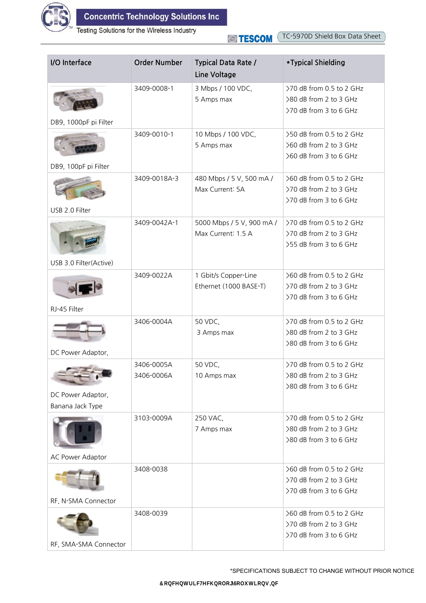

Testing Solutions for the Wireless Industry

TC-5970D Shield Box Data Sheet **STESCOM** 

| I/O Interface                         | <b>Order Number</b>      | <b>Typical Data Rate /</b><br>Line Voltage      | *Typical Shielding                                                           |
|---------------------------------------|--------------------------|-------------------------------------------------|------------------------------------------------------------------------------|
| DB9, 1000pF pi Filter                 | 3409-0008-1              | 3 Mbps / 100 VDC,<br>5 Amps max                 | >70 dB from 0.5 to 2 GHz<br>>80 dB from 2 to 3 GHz<br>>70 dB from 3 to 6 GHz |
| DB9, 100pF pi Filter                  | 3409-0010-1              | 10 Mbps / 100 VDC,<br>5 Amps max                | >50 dB from 0.5 to 2 GHz<br>>60 dB from 2 to 3 GHz<br>>60 dB from 3 to 6 GHz |
| USB 2.0 Filter                        | 3409-0018A-3             | 480 Mbps / 5 V, 500 mA /<br>Max Current: 5A     | >60 dB from 0.5 to 2 GHz<br>>70 dB from 2 to 3 GHz<br>>70 dB from 3 to 6 GHz |
| USB 3.0 Filter(Active)                | 3409-0042A-1             | 5000 Mbps / 5 V, 900 mA /<br>Max Current: 1.5 A | >70 dB from 0.5 to 2 GHz<br>>70 dB from 2 to 3 GHz<br>>55 dB from 3 to 6 GHz |
|                                       | 3409-0022A               | 1 Gbit/s Copper-Line<br>Ethernet (1000 BASE-T)  | >60 dB from 0.5 to 2 GHz<br>>70 dB from 2 to 3 GHz<br>>70 dB from 3 to 6 GHz |
| RJ-45 Filter<br>DC Power Adaptor,     | 3406-0004A               | 50 VDC,<br>3 Amps max                           | >70 dB from 0.5 to 2 GHz<br>>80 dB from 2 to 3 GHz<br>>80 dB from 3 to 6 GHz |
| DC Power Adaptor,<br>Banana Jack Type | 3406-0005A<br>3406-0006A | 50 VDC,<br>10 Amps max                          | >70 dB from 0.5 to 2 GHz<br>>80 dB from 2 to 3 GHz<br>>80 dB from 3 to 6 GHz |
| <b>AC Power Adaptor</b>               | 3103-0009A               | 250 VAC,<br>7 Amps max                          | >70 dB from 0.5 to 2 GHz<br>>80 dB from 2 to 3 GHz<br>>80 dB from 3 to 6 GHz |
| RF, N-SMA Connector                   | 3408-0038                |                                                 | >60 dB from 0.5 to 2 GHz<br>>70 dB from 2 to 3 GHz<br>>70 dB from 3 to 6 GHz |
| RF, SMA-SMA Connector                 | 3408-0039                |                                                 | >60 dB from 0.5 to 2 GHz<br>>70 dB from 2 to 3 GHz<br>>70 dB from 3 to 6 GHz |

\*SPECIFICATIONS SUBJECT TO CHANGE WITHOUT PRIOR NOTICE